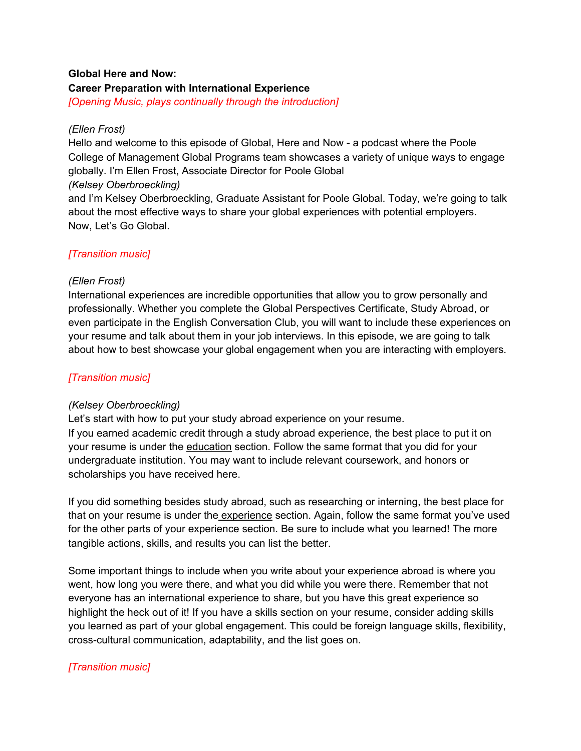### **Global Here and Now:**

#### **Career Preparation with International Experience**

*[Opening Music, plays continually through the introduction]*

### *(Ellen Frost)*

Hello and welcome to this episode of Global, Here and Now - a podcast where the Poole College of Management Global Programs team showcases a variety of unique ways to engage globally. I'm Ellen Frost, Associate Director for Poole Global

### *(Kelsey Oberbroeckling)*

and I'm Kelsey Oberbroeckling, Graduate Assistant for Poole Global. Today, we're going to talk about the most effective ways to share your global experiences with potential employers. Now, Let's Go Global.

# *[Transition music]*

### *(Ellen Frost)*

International experiences are incredible opportunities that allow you to grow personally and professionally. Whether you complete the Global Perspectives Certificate, Study Abroad, or even participate in the English Conversation Club, you will want to include these experiences on your resume and talk about them in your job interviews. In this episode, we are going to talk about how to best showcase your global engagement when you are interacting with employers.

# *[Transition music]*

#### *(Kelsey Oberbroeckling)*

Let's start with how to put your study abroad experience on your resume. If you earned academic credit through a study abroad experience, the best place to put it on your resume is under the education section. Follow the same format that you did for your undergraduate institution. You may want to include relevant coursework, and honors or scholarships you have received here.

If you did something besides study abroad, such as researching or interning, the best place for that on your resume is under the experience section. Again, follow the same format you've used for the other parts of your experience section. Be sure to include what you learned! The more tangible actions, skills, and results you can list the better.

Some important things to include when you write about your experience abroad is where you went, how long you were there, and what you did while you were there. Remember that not everyone has an international experience to share, but you have this great experience so highlight the heck out of it! If you have a skills section on your resume, consider adding skills you learned as part of your global engagement. This could be foreign language skills, flexibility, cross-cultural communication, adaptability, and the list goes on.

# *[Transition music]*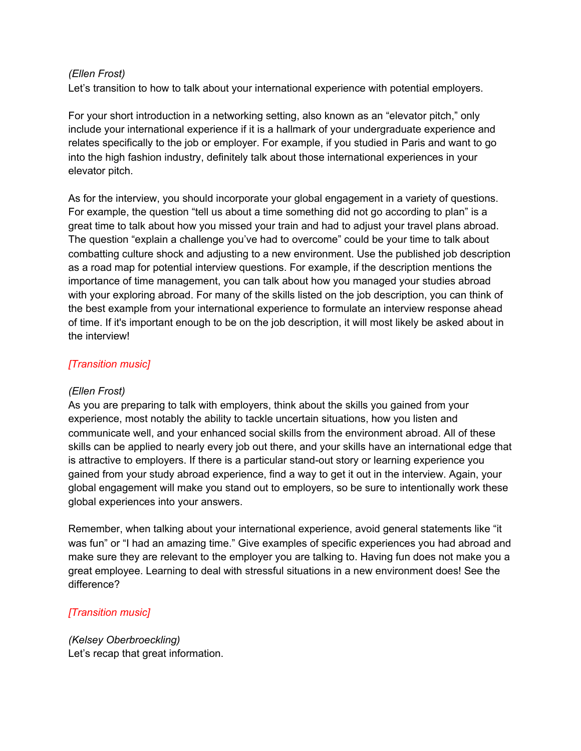#### *(Ellen Frost)*

Let's transition to how to talk about your international experience with potential employers.

For your short introduction in a networking setting, also known as an "elevator pitch," only include your international experience if it is a hallmark of your undergraduate experience and relates specifically to the job or employer. For example, if you studied in Paris and want to go into the high fashion industry, definitely talk about those international experiences in your elevator pitch.

As for the interview, you should incorporate your global engagement in a variety of questions. For example, the question "tell us about a time something did not go according to plan" is a great time to talk about how you missed your train and had to adjust your travel plans abroad. The question "explain a challenge you've had to overcome" could be your time to talk about combatting culture shock and adjusting to a new environment. Use the published job description as a road map for potential interview questions. For example, if the description mentions the importance of time management, you can talk about how you managed your studies abroad with your exploring abroad. For many of the skills listed on the job description, you can think of the best example from your international experience to formulate an interview response ahead of time. If it's important enough to be on the job description, it will most likely be asked about in the interview!

### *[Transition music]*

#### *(Ellen Frost)*

As you are preparing to talk with employers, think about the skills you gained from your experience, most notably the ability to tackle uncertain situations, how you listen and communicate well, and your enhanced social skills from the environment abroad. All of these skills can be applied to nearly every job out there, and your skills have an international edge that is attractive to employers. If there is a particular stand-out story or learning experience you gained from your study abroad experience, find a way to get it out in the interview. Again, your global engagement will make you stand out to employers, so be sure to intentionally work these global experiences into your answers.

Remember, when talking about your international experience, avoid general statements like "it was fun" or "I had an amazing time." Give examples of specific experiences you had abroad and make sure they are relevant to the employer you are talking to. Having fun does not make you a great employee. Learning to deal with stressful situations in a new environment does! See the difference?

# *[Transition music]*

*(Kelsey Oberbroeckling)* Let's recap that great information.